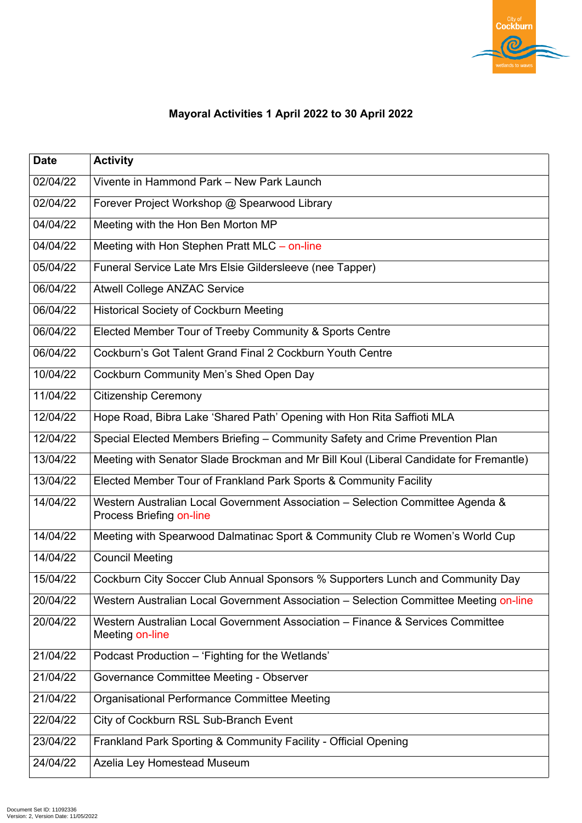

## **Mayoral Activities 1 April 2022 to 30 April 2022**

| <b>Date</b> | <b>Activity</b>                                                                                                   |
|-------------|-------------------------------------------------------------------------------------------------------------------|
| 02/04/22    | Vivente in Hammond Park – New Park Launch                                                                         |
| 02/04/22    | Forever Project Workshop @ Spearwood Library                                                                      |
| 04/04/22    | Meeting with the Hon Ben Morton MP                                                                                |
| 04/04/22    | Meeting with Hon Stephen Pratt MLC – on-line                                                                      |
| 05/04/22    | Funeral Service Late Mrs Elsie Gildersleeve (nee Tapper)                                                          |
| 06/04/22    | <b>Atwell College ANZAC Service</b>                                                                               |
| 06/04/22    | <b>Historical Society of Cockburn Meeting</b>                                                                     |
| 06/04/22    | Elected Member Tour of Treeby Community & Sports Centre                                                           |
| 06/04/22    | Cockburn's Got Talent Grand Final 2 Cockburn Youth Centre                                                         |
| 10/04/22    | Cockburn Community Men's Shed Open Day                                                                            |
| 11/04/22    | <b>Citizenship Ceremony</b>                                                                                       |
| 12/04/22    | Hope Road, Bibra Lake 'Shared Path' Opening with Hon Rita Saffioti MLA                                            |
| 12/04/22    | Special Elected Members Briefing – Community Safety and Crime Prevention Plan                                     |
| 13/04/22    | Meeting with Senator Slade Brockman and Mr Bill Koul (Liberal Candidate for Fremantle)                            |
| 13/04/22    | Elected Member Tour of Frankland Park Sports & Community Facility                                                 |
| 14/04/22    | Western Australian Local Government Association – Selection Committee Agenda &<br><b>Process Briefing on-line</b> |
| 14/04/22    | Meeting with Spearwood Dalmatinac Sport & Community Club re Women's World Cup                                     |
| 14/04/22    | <b>Council Meeting</b>                                                                                            |
| 15/04/22    | Cockburn City Soccer Club Annual Sponsors % Supporters Lunch and Community Day                                    |
| 20/04/22    | Western Australian Local Government Association - Selection Committee Meeting on-line                             |
| 20/04/22    | Western Australian Local Government Association – Finance & Services Committee<br>Meeting on-line                 |
| 21/04/22    | Podcast Production – 'Fighting for the Wetlands'                                                                  |
| 21/04/22    | Governance Committee Meeting - Observer                                                                           |
| 21/04/22    | Organisational Performance Committee Meeting                                                                      |
| 22/04/22    | City of Cockburn RSL Sub-Branch Event                                                                             |
| 23/04/22    | Frankland Park Sporting & Community Facility - Official Opening                                                   |
| 24/04/22    | <b>Azelia Ley Homestead Museum</b>                                                                                |